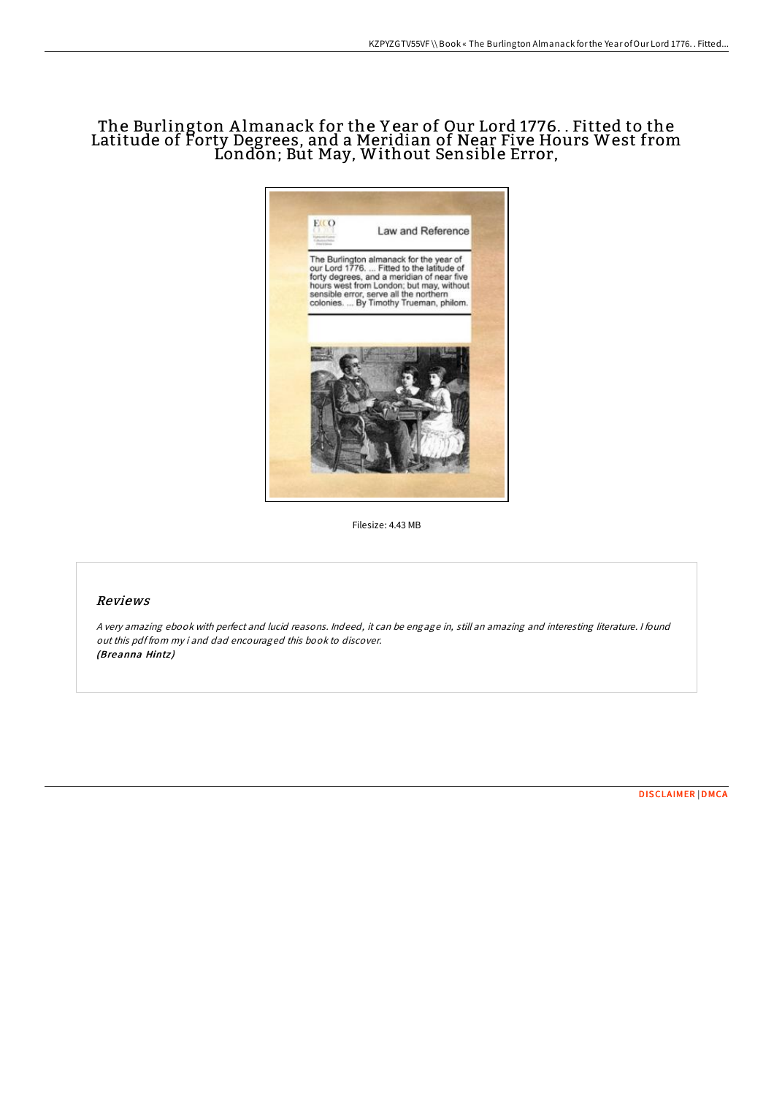## The Burlington A lmanack for the Y ear of Our Lord 1776. . Fitted to the Latitude of Forty Degrees, and a Meridian of Near Five Hours West from London; But May, Without Sensible Error,



Filesize: 4.43 MB

## Reviews

<sup>A</sup> very amazing ebook with perfect and lucid reasons. Indeed, it can be engage in, still an amazing and interesting literature. <sup>I</sup> found out this pdf from my i and dad encouraged this book to discover. (Breanna Hintz )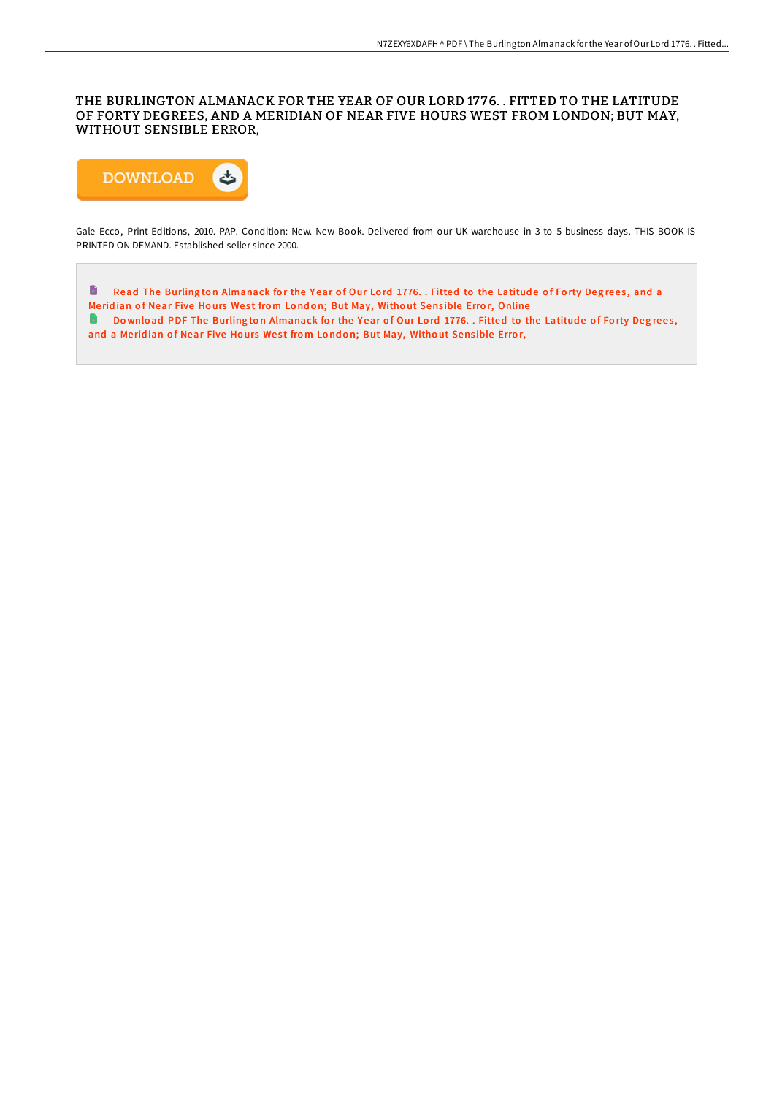## THE BURLINGTON ALMANACK FOR THE YEAR OF OUR LORD 17 76. . FITTED TO THE LATITUDE OF FORTY DEGREES, AND A MERIDIAN OF NEAR FIVE HOURS WEST FROM LONDON; BUT MAY, WITHOUT SENSIBLE ERROR,



Gale Ecco, Print Editions, 2010. PAP. Condition: New. New Book. Delivered from our UK warehouse in 3 to 5 business days. THIS BOOK IS PRINTED ON DEMAND. Established seller since 2000.

Read The Burling ton [Almanack](http://almighty24.tech/the-burlington-almanack-for-the-year-of-our-lord-4.html) for the Year of Our Lord 1776. . Fitted to the Latitude of Forty Degrees, and a Meridian of Near Five Hours West from London; But May, Without Sensible Error, Online Do wnload PDF The Burling ton [Almanack](http://almighty24.tech/the-burlington-almanack-for-the-year-of-our-lord-4.html) for the Year of Our Lord 1776. . Fitted to the Latitude of Forty Degrees, and a Meridian of Near Five Hours West from London; But May, Without Sensible Error,